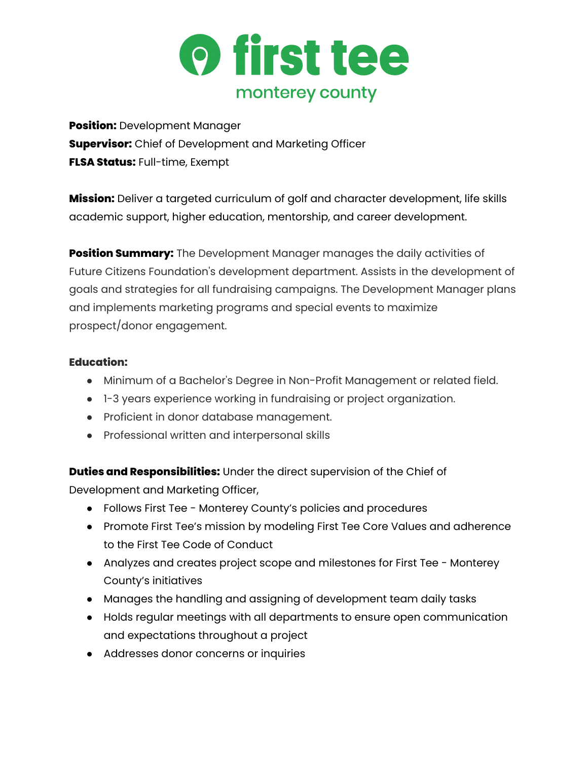

**Position:** Development Manager **Supervisor:** Chief of Development and Marketing Officer **FLSA Status:** Full-time, Exempt

**Mission:** Deliver a targeted curriculum of golf and character development, life skills academic support, higher education, mentorship, and career development.

**Position Summary:** The Development Manager manages the daily activities of Future Citizens Foundation's development department. Assists in the development of goals and strategies for all fundraising campaigns. The Development Manager plans and implements marketing programs and special events to maximize prospect/donor engagement.

## **Education:**

- Minimum of a Bachelor's Degree in Non-Profit Management or related field.
- 1-3 years experience working in fundraising or project organization.
- Proficient in donor database management.
- Professional written and interpersonal skills

**Duties and Responsibilities:** Under the direct supervision of the Chief of

Development and Marketing Officer,

- Follows First Tee Monterey County's policies and procedures
- Promote First Tee's mission by modeling First Tee Core Values and adherence to the First Tee Code of Conduct
- Analyzes and creates project scope and milestones for First Tee Monterey County's initiatives
- Manages the handling and assigning of development team daily tasks
- Holds regular meetings with all departments to ensure open communication and expectations throughout a project
- Addresses donor concerns or inquiries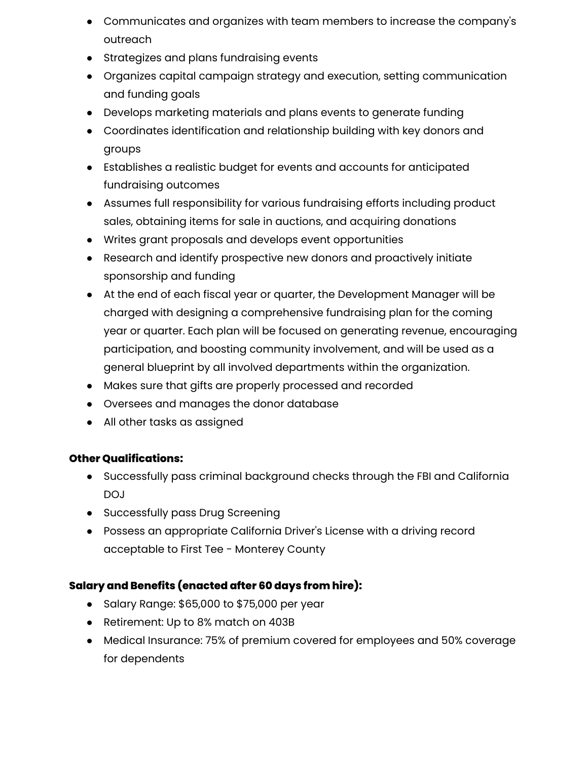- Communicates and organizes with team members to increase the company's outreach
- Strategizes and plans fundraising events
- Organizes capital campaign strategy and execution, setting communication and funding goals
- Develops marketing materials and plans events to generate funding
- Coordinates identification and relationship building with key donors and groups
- Establishes a realistic budget for events and accounts for anticipated fundraising outcomes
- Assumes full responsibility for various fundraising efforts including product sales, obtaining items for sale in auctions, and acquiring donations
- Writes grant proposals and develops event opportunities
- Research and identify prospective new donors and proactively initiate sponsorship and funding
- At the end of each fiscal year or quarter, the Development Manager will be charged with designing a comprehensive fundraising plan for the coming year or quarter. Each plan will be focused on generating revenue, encouraging participation, and boosting community involvement, and will be used as a general blueprint by all involved departments within the organization.
- Makes sure that gifts are properly processed and recorded
- Oversees and manages the donor database
- All other tasks as assigned

## **Other Qualifications:**

- Successfully pass criminal background checks through the FBI and California DOJ
- Successfully pass Drug Screening
- Possess an appropriate California Driver's License with a driving record acceptable to First Tee - Monterey County

## **Salary and Benefits (enacted after 60 days from hire):**

- Salary Range: \$65,000 to \$75,000 per year
- Retirement: Up to 8% match on 403B
- Medical Insurance: 75% of premium covered for employees and 50% coverage for dependents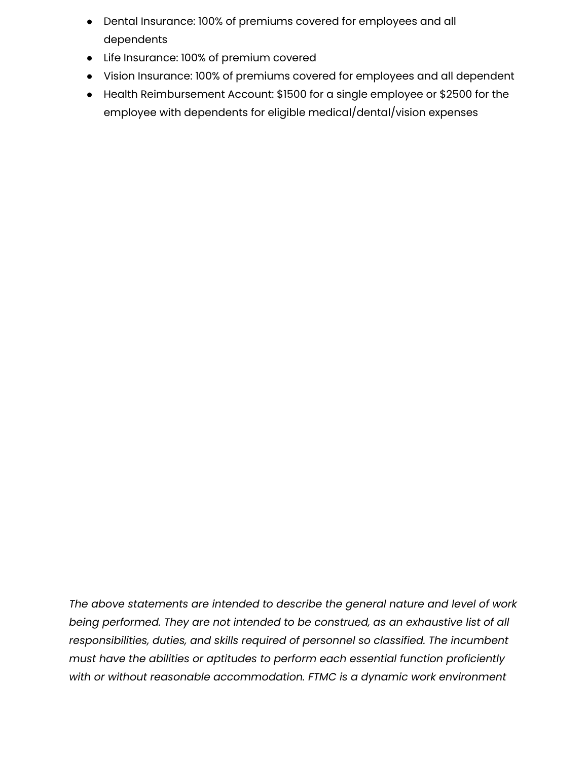- Dental Insurance: 100% of premiums covered for employees and all dependents
- Life Insurance: 100% of premium covered
- Vision Insurance: 100% of premiums covered for employees and all dependent
- Health Reimbursement Account: \$1500 for a single employee or \$2500 for the employee with dependents for eligible medical/dental/vision expenses

*The above statements are intended to describe the general nature and level of work being performed. They are not intended to be construed, as an exhaustive list of all responsibilities, duties, and skills required of personnel so classified. The incumbent must have the abilities or aptitudes to perform each essential function proficiently with or without reasonable accommodation. FTMC is a dynamic work environment*